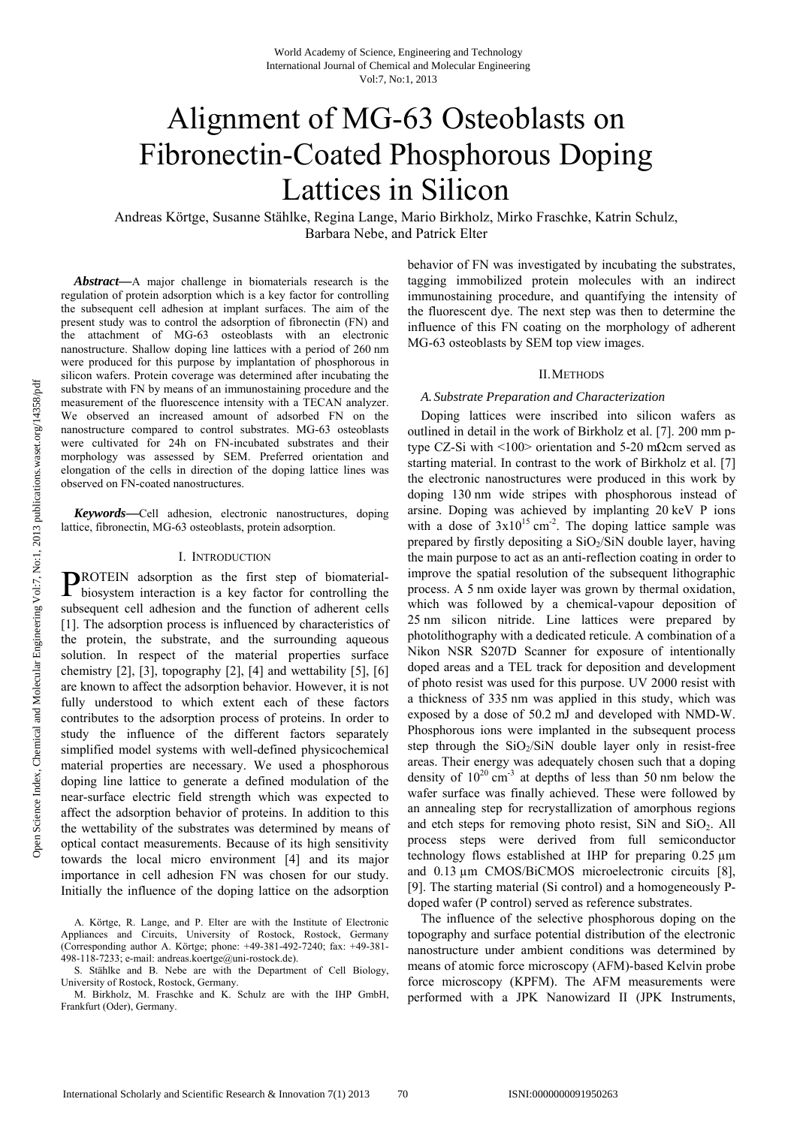# Alignment of MG-63 Osteoblasts on Fibronectin-Coated Phosphorous Doping Lattices in Silicon

Andreas Körtge, Susanne Stählke, Regina Lange, Mario Birkholz, Mirko Fraschke, Katrin Schulz, Barbara Nebe, and Patrick Elter

*Abstract***—**A major challenge in biomaterials research is the regulation of protein adsorption which is a key factor for controlling the subsequent cell adhesion at implant surfaces. The aim of the present study was to control the adsorption of fibronectin (FN) and the attachment of MG-63 osteoblasts with an electronic nanostructure. Shallow doping line lattices with a period of 260 nm were produced for this purpose by implantation of phosphorous in silicon wafers. Protein coverage was determined after incubating the substrate with FN by means of an immunostaining procedure and the measurement of the fluorescence intensity with a TECAN analyzer. We observed an increased amount of adsorbed FN on the nanostructure compared to control substrates. MG-63 osteoblasts were cultivated for 24h on FN-incubated substrates and their morphology was assessed by SEM. Preferred orientation and elongation of the cells in direction of the doping lattice lines was observed on FN-coated nanostructures.

*Keywords***—**Cell adhesion, electronic nanostructures, doping lattice, fibronectin, MG-63 osteoblasts, protein adsorption.

#### I. INTRODUCTION

ROTEIN adsorption as the first step of biomaterial-PROTEIN adsorption as the first step of biomaterial-<br>biosystem interaction is a key factor for controlling the subsequent cell adhesion and the function of adherent cells [1]. The adsorption process is influenced by characteristics of the protein, the substrate, and the surrounding aqueous solution. In respect of the material properties surface chemistry  $[2]$ ,  $[3]$ , topography  $[2]$ ,  $[4]$  and wettability  $[5]$ ,  $[6]$ are known to affect the adsorption behavior. However, it is not fully understood to which extent each of these factors contributes to the adsorption process of proteins. In order to study the influence of the different factors separately simplified model systems with well-defined physicochemical material properties are necessary. We used a phosphorous doping line lattice to generate a defined modulation of the near-surface electric field strength which was expected to affect the adsorption behavior of proteins. In addition to this the wettability of the substrates was determined by means of optical contact measurements. Because of its high sensitivity towards the local micro environment [4] and its major importance in cell adhesion FN was chosen for our study. Initially the influence of the doping lattice on the adsorption

behavior of FN was investigated by incubating the substrates, tagging immobilized protein molecules with an indirect immunostaining procedure, and quantifying the intensity of the fluorescent dye. The next step was then to determine the influence of this FN coating on the morphology of adherent MG-63 osteoblasts by SEM top view images.

#### II.METHODS

#### *A. Substrate Preparation and Characterization*

Doping lattices were inscribed into silicon wafers as outlined in detail in the work of Birkholz et al. [7]. 200 mm ptype CZ-Si with <100> orientation and 5-20 mΩcm served as starting material. In contrast to the work of Birkholz et al. [7] the electronic nanostructures were produced in this work by doping 130 nm wide stripes with phosphorous instead of arsine. Doping was achieved by implanting 20 keV P ions with a dose of  $3x10^{15}$  cm<sup>-2</sup>. The doping lattice sample was prepared by firstly depositing a SiO<sub>2</sub>/SiN double layer, having the main purpose to act as an anti-reflection coating in order to improve the spatial resolution of the subsequent lithographic process. A 5 nm oxide layer was grown by thermal oxidation, which was followed by a chemical-vapour deposition of 25 nm silicon nitride. Line lattices were prepared by photolithography with a dedicated reticule. A combination of a Nikon NSR S207D Scanner for exposure of intentionally doped areas and a TEL track for deposition and development of photo resist was used for this purpose. UV 2000 resist with a thickness of 335 nm was applied in this study, which was exposed by a dose of 50.2 mJ and developed with NMD-W. Phosphorous ions were implanted in the subsequent process step through the  $SiO<sub>2</sub>/SiN$  double layer only in resist-free areas. Their energy was adequately chosen such that a doping density of  $10^{20}$  cm<sup>-3</sup> at depths of less than 50 nm below the wafer surface was finally achieved. These were followed by an annealing step for recrystallization of amorphous regions and etch steps for removing photo resist, SiN and  $SiO<sub>2</sub>$ . All process steps were derived from full semiconductor technology flows established at IHP for preparing 0.25 µm and  $0.13 \mu$ m CMOS/BiCMOS microelectronic circuits [8], [9]. The starting material (Si control) and a homogeneously Pdoped wafer (P control) served as reference substrates.

The influence of the selective phosphorous doping on the topography and surface potential distribution of the electronic nanostructure under ambient conditions was determined by means of atomic force microscopy (AFM)-based Kelvin probe force microscopy (KPFM). The AFM measurements were performed with a JPK Nanowizard II (JPK Instruments,

A. Körtge, R. Lange, and P. Elter are with the Institute of Electronic Appliances and Circuits, University of Rostock, Rostock, Germany (Corresponding author A. Körtge; phone: +49-381-492-7240; fax: +49-381- 498-118-7233; e-mail: andreas.koertge@uni-rostock.de).

S. Stählke and B. Nebe are with the Department of Cell Biology, University of Rostock, Rostock, Germany.

M. Birkholz, M. Fraschke and K. Schulz are with the IHP GmbH, Frankfurt (Oder), Germany.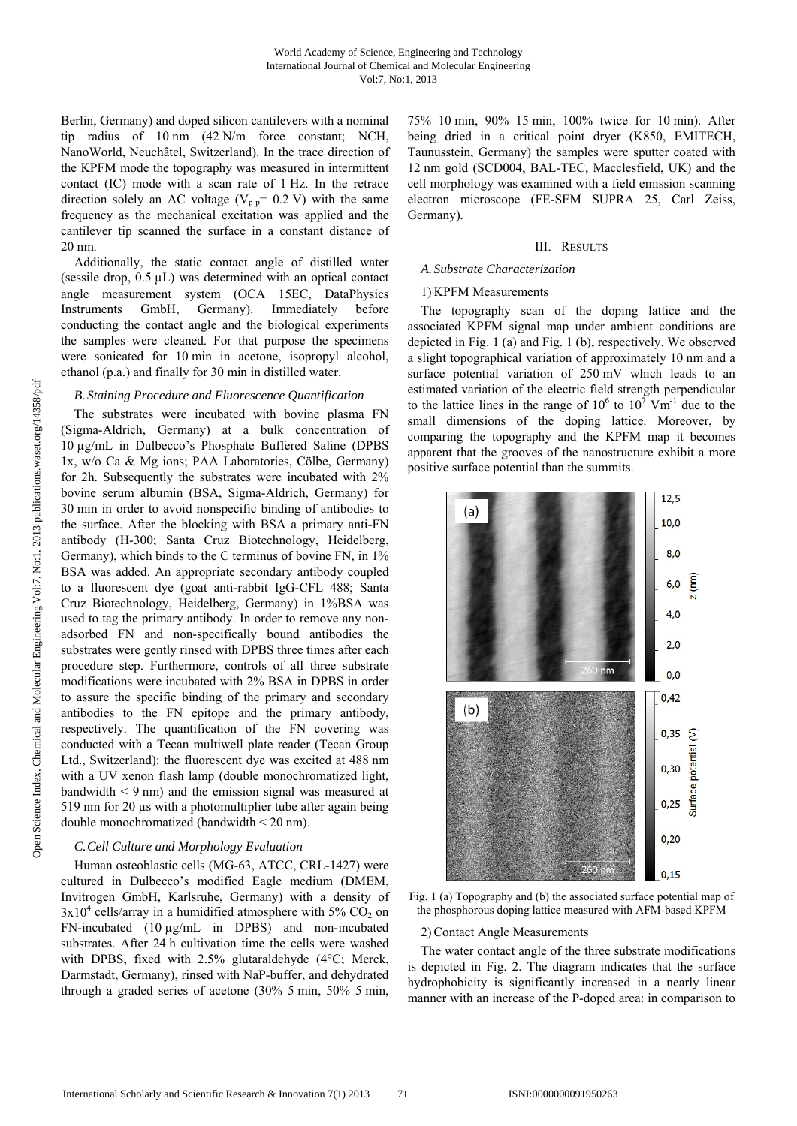Berlin, Germany) and doped silicon cantilevers with a nominal tip radius of 10 nm (42 N/m force constant; NCH, NanoWorld, Neuchâtel, Switzerland). In the trace direction of the KPFM mode the topography was measured in intermittent contact (IC) mode with a scan rate of 1 Hz. In the retrace direction solely an AC voltage ( $V_{p-p}$ = 0.2 V) with the same frequency as the mechanical excitation was applied and the cantilever tip scanned the surface in a constant distance of 20 nm.

Additionally, the static contact angle of distilled water (sessile drop, 0.5 µL) was determined with an optical contact angle measurement system (OCA 15EC, DataPhysics Instruments GmbH, Germany). Immediately before conducting the contact angle and the biological experiments the samples were cleaned. For that purpose the specimens were sonicated for 10 min in acetone, isopropyl alcohol, ethanol (p.a.) and finally for 30 min in distilled water.

# *B. Staining Procedure and Fluorescence Quantification*

The substrates were incubated with bovine plasma FN (Sigma-Aldrich, Germany) at a bulk concentration of 10 µg/mL in Dulbecco's Phosphate Buffered Saline (DPBS 1x, w/o Ca & Mg ions; PAA Laboratories, Cölbe, Germany) for 2h. Subsequently the substrates were incubated with 2% bovine serum albumin (BSA, Sigma-Aldrich, Germany) for 30 min in order to avoid nonspecific binding of antibodies to the surface. After the blocking with BSA a primary anti-FN antibody (H-300; Santa Cruz Biotechnology, Heidelberg, Germany), which binds to the C terminus of bovine FN, in  $1\%$ BSA was added. An appropriate secondary antibody coupled to a fluorescent dye (goat anti-rabbit IgG-CFL 488; Santa Cruz Biotechnology, Heidelberg, Germany) in 1%BSA was used to tag the primary antibody. In order to remove any nonadsorbed FN and non-specifically bound antibodies the substrates were gently rinsed with DPBS three times after each procedure step. Furthermore, controls of all three substrate modifications were incubated with 2% BSA in DPBS in order to assure the specific binding of the primary and secondary antibodies to the FN epitope and the primary antibody, respectively. The quantification of the FN covering was conducted with a Tecan multiwell plate reader (Tecan Group Ltd., Switzerland): the fluorescent dye was excited at 488 nm with a UV xenon flash lamp (double monochromatized light, bandwidth  $\leq 9$  nm) and the emission signal was measured at 519 nm for 20 µs with a photomultiplier tube after again being double monochromatized (bandwidth < 20 nm).

# *C.Cell Culture and Morphology Evaluation*

Human osteoblastic cells (MG-63, ATCC, CRL-1427) were cultured in Dulbecco's modified Eagle medium (DMEM, Invitrogen GmbH, Karlsruhe, Germany) with a density of  $3x10^4$  cells/array in a humidified atmosphere with 5% CO<sub>2</sub> on FN-incubated (10 µg/mL in DPBS) and non-incubated substrates. After 24 h cultivation time the cells were washed with DPBS, fixed with 2.5% glutaraldehyde (4°C; Merck, Darmstadt, Germany), rinsed with NaP-buffer, and dehydrated through a graded series of acetone (30% 5 min, 50% 5 min,

75% 10 min, 90% 15 min, 100% twice for 10 min). After being dried in a critical point dryer (K850, EMITECH, Taunusstein, Germany) the samples were sputter coated with 12 nm gold (SCD004, BAL-TEC, Macclesfield, UK) and the cell morphology was examined with a field emission scanning electron microscope (FE-SEM SUPRA 25, Carl Zeiss, Germany)*.* 

## III. RESULTS

#### *A. Substrate Characterization*

# 1) KPFM Measurements

The topography scan of the doping lattice and the associated KPFM signal map under ambient conditions are depicted in Fig. 1 (a) and Fig. 1 (b), respectively. We observed a slight topographical variation of approximately 10 nm and a surface potential variation of 250 mV which leads to an estimated variation of the electric field strength perpendicular to the lattice lines in the range of  $10^6$  to  $10^7$  Vm<sup>-1</sup> due to the small dimensions of the doping lattice. Moreover, by comparing the topography and the KPFM map it becomes apparent that the grooves of the nanostructure exhibit a more positive surface potential than the summits.



Fig. 1 (a) Topography and (b) the associated surface potential map of the phosphorous doping lattice measured with AFM-based KPFM

# 2) Contact Angle Measurements

The water contact angle of the three substrate modifications is depicted in Fig. 2. The diagram indicates that the surface hydrophobicity is significantly increased in a nearly linear manner with an increase of the P-doped area: in comparison to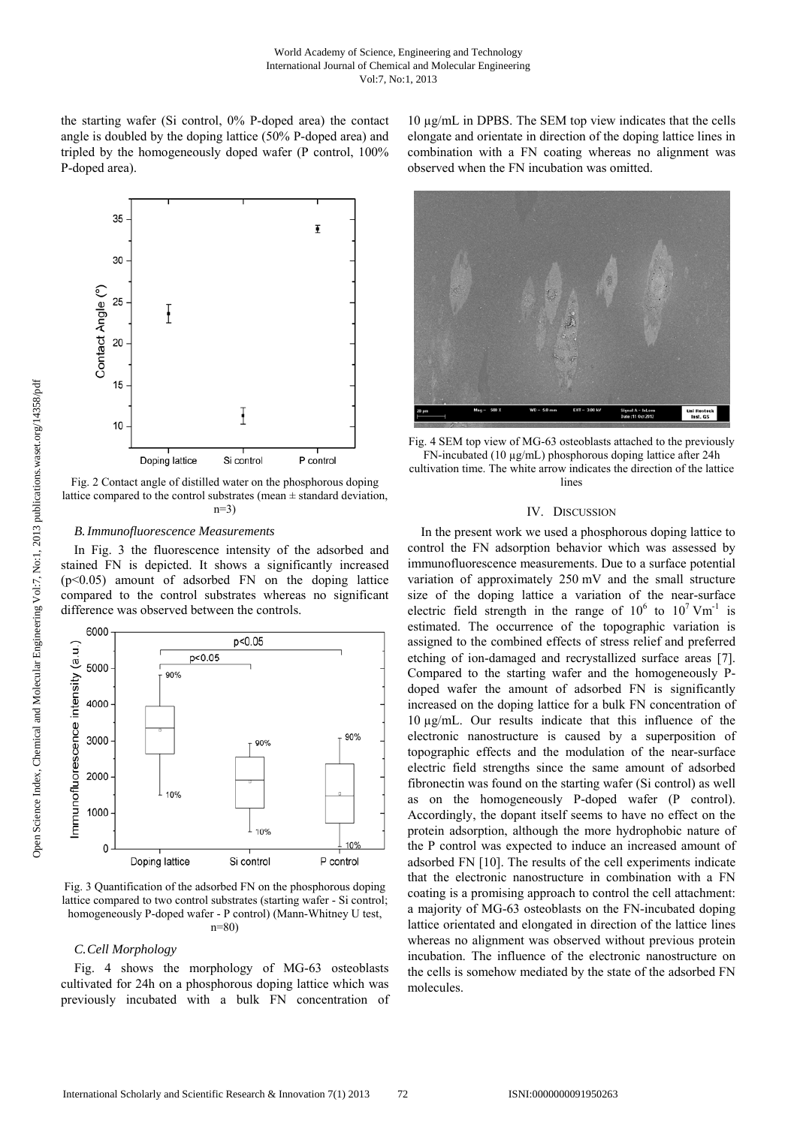the starting wafer (Si control, 0% P-doped area) the contact angle is doubled by the doping lattice (50% P-doped area) and tripled by the homogeneously doped wafer (P control, 100% P-doped area).



Fig. 2 Contact angle of distilled water on the phosphorous doping lattice compared to the control substrates (mean  $\pm$  standard deviation, n=3)

#### *B.Immunofluorescence Measurements*

In Fig. 3 the fluorescence intensity of the adsorbed and stained FN is depicted. It shows a significantly increased  $(p<0.05)$  amount of adsorbed FN on the doping lattice compared to the control substrates whereas no significant difference was observed between the controls.



Fig. 3 Quantification of the adsorbed FN on the phosphorous doping lattice compared to two control substrates (starting wafer - Si control; homogeneously P-doped wafer - P control) (Mann-Whitney U test, n=80)

## *C.Cell Morphology*

Fig. 4 shows the morphology of MG-63 osteoblasts cultivated for 24h on a phosphorous doping lattice which was previously incubated with a bulk FN concentration of

10 µg/mL in DPBS. The SEM top view indicates that the cells elongate and orientate in direction of the doping lattice lines in combination with a FN coating whereas no alignment was observed when the FN incubation was omitted.



Fig. 4 SEM top view of MG-63 osteoblasts attached to the previously FN-incubated (10 µg/mL) phosphorous doping lattice after 24h cultivation time. The white arrow indicates the direction of the lattice lines

#### IV. DISCUSSION

In the present work we used a phosphorous doping lattice to control the FN adsorption behavior which was assessed by immunofluorescence measurements. Due to a surface potential variation of approximately 250 mV and the small structure size of the doping lattice a variation of the near-surface electric field strength in the range of  $10^6$  to  $10^7$  Vm<sup>-1</sup> is estimated. The occurrence of the topographic variation is assigned to the combined effects of stress relief and preferred etching of ion-damaged and recrystallized surface areas [7]. Compared to the starting wafer and the homogeneously Pdoped wafer the amount of adsorbed FN is significantly increased on the doping lattice for a bulk FN concentration of 10 µg/mL. Our results indicate that this influence of the electronic nanostructure is caused by a superposition of topographic effects and the modulation of the near-surface electric field strengths since the same amount of adsorbed fibronectin was found on the starting wafer (Si control) as well as on the homogeneously P-doped wafer (P control). Accordingly, the dopant itself seems to have no effect on the protein adsorption, although the more hydrophobic nature of the P control was expected to induce an increased amount of adsorbed FN [10]. The results of the cell experiments indicate that the electronic nanostructure in combination with a FN coating is a promising approach to control the cell attachment: a majority of MG-63 osteoblasts on the FN-incubated doping lattice orientated and elongated in direction of the lattice lines whereas no alignment was observed without previous protein incubation. The influence of the electronic nanostructure on the cells is somehow mediated by the state of the adsorbed FN molecules.